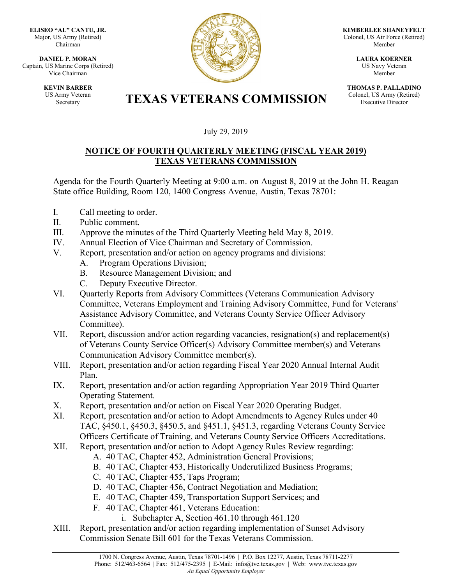**ELISEO "AL" CANTU, JR.** Major, US Army (Retired) Chairman

**DANIEL P. MORAN** Captain, US Marine Corps (Retired) Vice Chairman

> **KEVIN BARBER** US Army Veteran



**KIMBERLEE SHANEYFELT** Colonel, US Air Force (Retired) Member

> **LAURA KOERNER** US Navy Veteran Member

**THOMAS P. PALLADINO** Colonel, US Army (Retired) Executive Director

## Army Veteran **TEXAS VETERANS COMMISSION**

## July 29, 2019

## **NOTICE OF FOURTH QUARTERLY MEETING (FISCAL YEAR 2019) TEXAS VETERANS COMMISSION**

Agenda for the Fourth Quarterly Meeting at 9:00 a.m. on August 8, 2019 at the John H. Reagan State office Building, Room 120, 1400 Congress Avenue, Austin, Texas 78701:

- I. Call meeting to order.
- II. Public comment.
- III. Approve the minutes of the Third Quarterly Meeting held May 8, 2019.
- IV. Annual Election of Vice Chairman and Secretary of Commission.
- V. Report, presentation and/or action on agency programs and divisions:
	- A. Program Operations Division;
	- B. Resource Management Division; and
	- C. Deputy Executive Director.
- VI. Quarterly Reports from Advisory Committees (Veterans Communication Advisory Committee, Veterans Employment and Training Advisory Committee, Fund for Veterans' Assistance Advisory Committee, and Veterans County Service Officer Advisory Committee).
- VII. Report, discussion and/or action regarding vacancies, resignation(s) and replacement(s) of Veterans County Service Officer(s) Advisory Committee member(s) and Veterans Communication Advisory Committee member(s).
- VIII. Report, presentation and/or action regarding Fiscal Year 2020 Annual Internal Audit Plan.
- IX. Report, presentation and/or action regarding Appropriation Year 2019 Third Quarter Operating Statement.
- X. Report, presentation and/or action on Fiscal Year 2020 Operating Budget.
- XI. Report, presentation and/or action to Adopt Amendments to Agency Rules under 40 TAC, §450.1, §450.3, §450.5, and §451.1, §451.3, regarding Veterans County Service Officers Certificate of Training, and Veterans County Service Officers Accreditations.
- XII. Report, presentation and/or action to Adopt Agency Rules Review regarding:
	- A. 40 TAC, Chapter 452, Administration General Provisions;
	- B. 40 TAC, Chapter 453, Historically Underutilized Business Programs;
	- C. 40 TAC, Chapter 455, Taps Program;
	- D. 40 TAC, Chapter 456, Contract Negotiation and Mediation;
	- E. 40 TAC, Chapter 459, Transportation Support Services; and
	- F. 40 TAC, Chapter 461, Veterans Education:
		- i. Subchapter A, Section 461.10 through 461.120
- XIII. Report, presentation and/or action regarding implementation of Sunset Advisory Commission Senate Bill 601 for the Texas Veterans Commission.